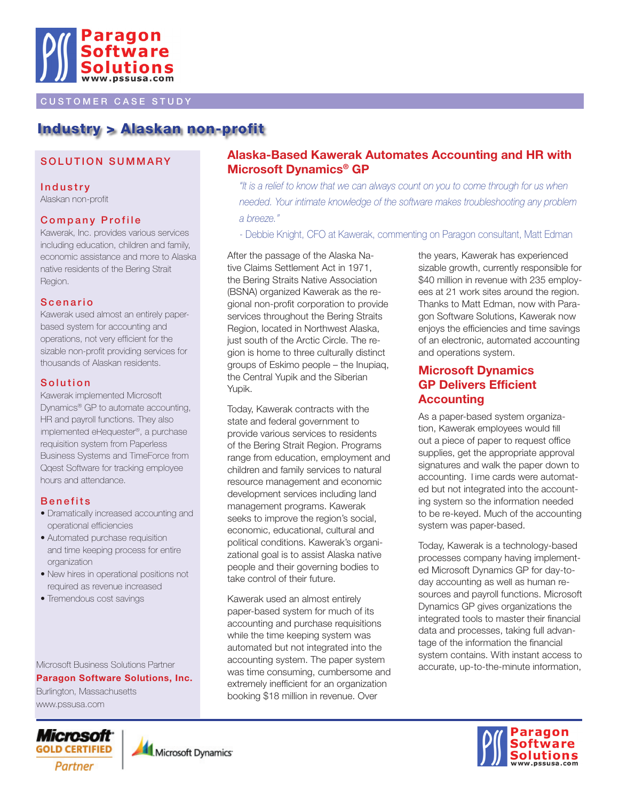

### CUSTOMER CASE STUDY

# Industry > Alaskan non-profit

### SOLUTION SUMMARY

**Industry** Alaskan non-profit

### **Company Profile**

Kawerak, Inc. provides various services including education, children and family, economic assistance and more to Alaska native residents of the Bering Strait Region.

#### **Scenario**

Kawerak used almost an entirely paperbased system for accounting and operations, not very efficient for the sizable non-profit providing services for thousands of Alaskan residents.

#### **Solution**

Kawerak implemented Microsoft Dynamics® GP to automate accounting, HR and payroll functions. They also implemented eRequester®, a purchase requisition system from Paperless Business Systems and TimeForce from Qqest Software for tracking employee hours and attendance.

#### **Benefits**

- Dramatically increased accounting and operational efficiencies
- Automated purchase requisition and time keeping process for entire organization
- New hires in operational positions not required as revenue increased
- Tremendous cost savings

Microsoft Business Solutions Partner

**Paragon Software Solutions, Inc.**

Burlington, Massachusetts www.pssusa.com

# Microsoft<sup>.</sup> **GOLD CERTIFIED** Partner



## **Alaska-Based Kawerak Automates Accounting and HR with Microsoft Dynamics® GP**

*"It is a relief to know that we can always count on you to come through for us when needed. Your intimate knowledge of the software makes troubleshooting any problem a breeze."*

- Debbie Knight, CFO at Kawerak, commenting on Paragon consultant, Matt Edman

After the passage of the Alaska Native Claims Settlement Act in 1971, the Bering Straits Native Association (BSNA) organized Kawerak as the regional non-profit corporation to provide services throughout the Bering Straits Region, located in Northwest Alaska, just south of the Arctic Circle. The region is home to three culturally distinct groups of Eskimo people – the Inupiaq, the Central Yupik and the Siberian Yupik.

Today, Kawerak contracts with the state and federal government to provide various services to residents of the Bering Strait Region. Programs range from education, employment and children and family services to natural resource management and economic development services including land management programs. Kawerak seeks to improve the region's social, economic, educational, cultural and political conditions. Kawerak's organizational goal is to assist Alaska native people and their governing bodies to take control of their future.

Kawerak used an almost entirely paper-based system for much of its accounting and purchase requisitions while the time keeping system was automated but not integrated into the accounting system. The paper system was time consuming, cumbersome and extremely inefficient for an organization booking \$18 million in revenue. Over

the years, Kawerak has experienced sizable growth, currently responsible for \$40 million in revenue with 235 employees at 21 work sites around the region. Thanks to Matt Edman, now with Paragon Software Solutions, Kawerak now enjoys the efficiencies and time savings of an electronic, automated accounting and operations system.

# **Microsoft Dynamics GP Delivers Efficient Accounting**

As a paper-based system organization, Kawerak employees would fill out a piece of paper to request office supplies, get the appropriate approval signatures and walk the paper down to accounting. Time cards were automated but not integrated into the accounting system so the information needed to be re-keyed. Much of the accounting system was paper-based.

Today, Kawerak is a technology-based processes company having implemented Microsoft Dynamics GP for day-today accounting as well as human resources and payroll functions. Microsoft Dynamics GP gives organizations the integrated tools to master their financial data and processes, taking full advantage of the information the financial system contains. With instant access to accurate, up-to-the-minute information,